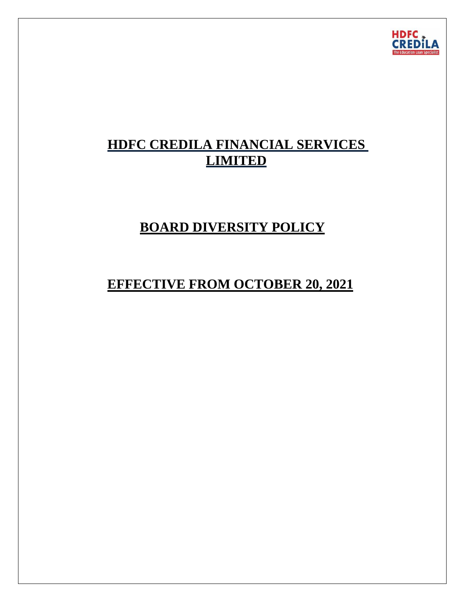

# **HDFC CREDILA FINANCIAL SERVICES LIMITED**

# **BOARD DIVERSITY POLICY**

# **EFFECTIVE FROM OCTOBER 20, 2021**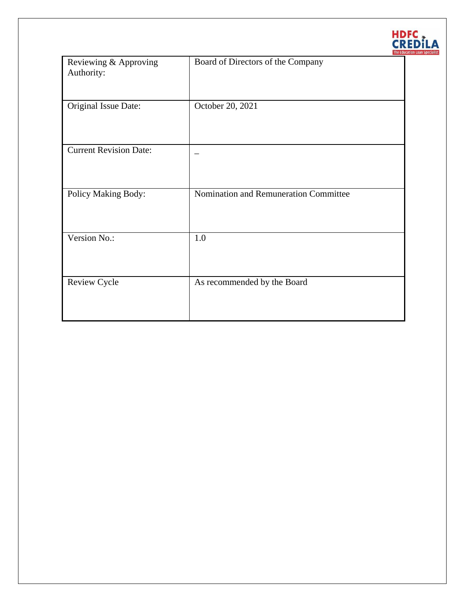

| Reviewing & Approving<br>Authority: | Board of Directors of the Company     |
|-------------------------------------|---------------------------------------|
| Original Issue Date:                | October 20, 2021                      |
| <b>Current Revision Date:</b>       |                                       |
| Policy Making Body:                 | Nomination and Remuneration Committee |
| Version No.:                        | 1.0                                   |
| Review Cycle                        | As recommended by the Board           |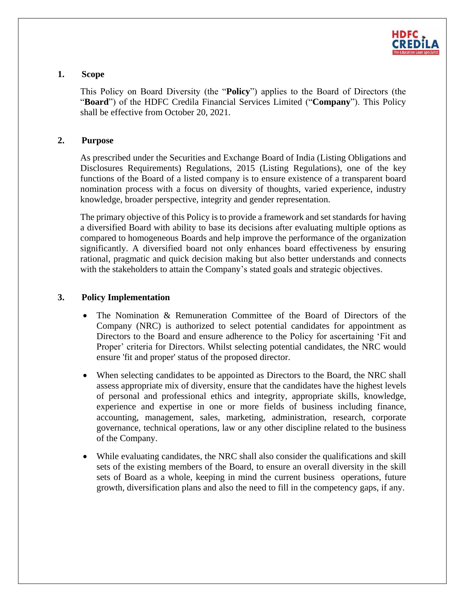

### **1. Scope**

This Policy on Board Diversity (the "**Policy**") applies to the Board of Directors (the "**Board**") of the HDFC Credila Financial Services Limited ("**Company**"). This Policy shall be effective from October 20, 2021.

#### **2. Purpose**

As prescribed under the Securities and Exchange Board of India (Listing Obligations and Disclosures Requirements) Regulations, 2015 (Listing Regulations), one of the key functions of the Board of a listed company is to ensure existence of a transparent board nomination process with a focus on diversity of thoughts, varied experience, industry knowledge, broader perspective, integrity and gender representation.

The primary objective of this Policy is to provide a framework and set standards for having a diversified Board with ability to base its decisions after evaluating multiple options as compared to homogeneous Boards and help improve the performance of the organization significantly. A diversified board not only enhances board effectiveness by ensuring rational, pragmatic and quick decision making but also better understands and connects with the stakeholders to attain the Company's stated goals and strategic objectives.

### **3. Policy Implementation**

- The Nomination & Remuneration Committee of the Board of Directors of the Company (NRC) is authorized to select potential candidates for appointment as Directors to the Board and ensure adherence to the Policy for ascertaining 'Fit and Proper' criteria for Directors. Whilst selecting potential candidates, the NRC would ensure 'fit and proper' status of the proposed director.
- When selecting candidates to be appointed as Directors to the Board, the NRC shall assess appropriate mix of diversity, ensure that the candidates have the highest levels of personal and professional ethics and integrity, appropriate skills, knowledge, experience and expertise in one or more fields of business including finance, accounting, management, sales, marketing, administration, research, corporate governance, technical operations, law or any other discipline related to the business of the Company.
- While evaluating candidates, the NRC shall also consider the qualifications and skill sets of the existing members of the Board, to ensure an overall diversity in the skill sets of Board as a whole, keeping in mind the current business operations, future growth, diversification plans and also the need to fill in the competency gaps, if any.